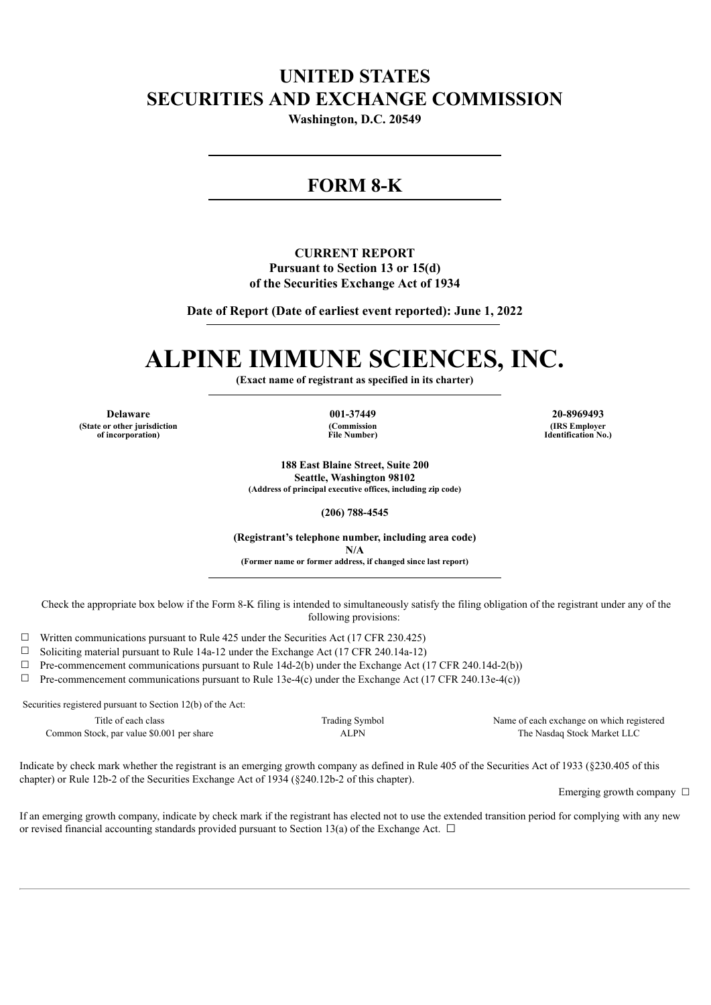# **UNITED STATES SECURITIES AND EXCHANGE COMMISSION**

**Washington, D.C. 20549**

# **FORM 8-K**

## **CURRENT REPORT Pursuant to Section 13 or 15(d) of the Securities Exchange Act of 1934**

**Date of Report (Date of earliest event reported): June 1, 2022**

# **ALPINE IMMUNE SCIENCES, INC.**

**(Exact name of registrant as specified in its charter)**

**Delaware 001-37449 20-8969493 (State or other jurisdiction of incorporation)**

**(Commission File Number)**

**(IRS Employer Identification No.)**

**188 East Blaine Street, Suite 200 Seattle, Washington 98102 (Address of principal executive offices, including zip code)**

**(206) 788-4545**

**(Registrant's telephone number, including area code) N/A (Former name or former address, if changed since last report)**

Check the appropriate box below if the Form 8-K filing is intended to simultaneously satisfy the filing obligation of the registrant under any of the following provisions:

 $\Box$  Written communications pursuant to Rule 425 under the Securities Act (17 CFR 230.425)

☐ Soliciting material pursuant to Rule 14a-12 under the Exchange Act (17 CFR 240.14a-12)

☐ Pre-commencement communications pursuant to Rule 14d-2(b) under the Exchange Act (17 CFR 240.14d-2(b))

 $\Box$  Pre-commencement communications pursuant to Rule 13e-4(c) under the Exchange Act (17 CFR 240.13e-4(c))

Securities registered pursuant to Section 12(b) of the Act:

| Title of each class                       | <b>Trading Symbol</b> | Name of each exchange on which registered |
|-------------------------------------------|-----------------------|-------------------------------------------|
| Common Stock, par value \$0.001 per share | ALPN                  | The Nasdag Stock Market LLC               |

Indicate by check mark whether the registrant is an emerging growth company as defined in Rule 405 of the Securities Act of 1933 (§230.405 of this chapter) or Rule 12b-2 of the Securities Exchange Act of 1934 (§240.12b-2 of this chapter).

Emerging growth company  $\Box$ 

If an emerging growth company, indicate by check mark if the registrant has elected not to use the extended transition period for complying with any new or revised financial accounting standards provided pursuant to Section 13(a) of the Exchange Act.  $\Box$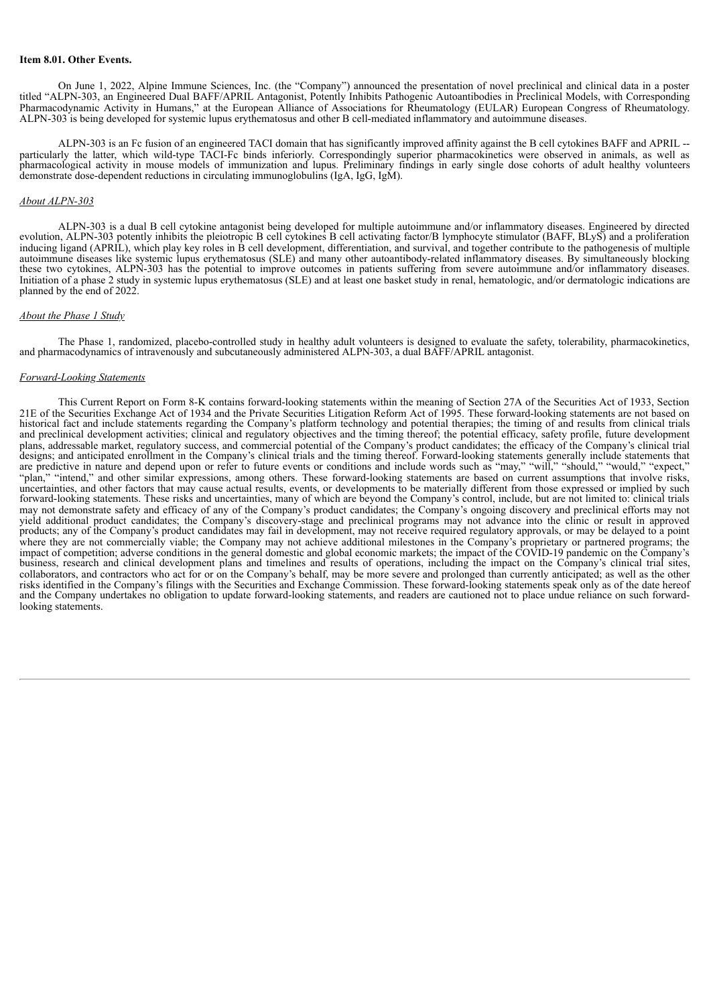#### **Item 8.01. Other Events.**

On June 1, 2022, Alpine Immune Sciences, Inc. (the "Company") announced the presentation of novel preclinical and clinical data in a poster titled "ALPN-303, an Engineered Dual BAFF/APRIL Antagonist, Potently Inhibits Pathogenic Autoantibodies in Preclinical Models, with Corresponding Pharmacodynamic Activity in Humans," at the European Alliance of Associations for Rheumatology (EULAR) European Congress of Rheumatology. ALPN-303 is being developed for systemic lupus erythematosus and other B cell-mediated inflammatory and autoimmune diseases.

ALPN-303 is an Fc fusion of an engineered TACI domain that has significantly improved affinity against the B cell cytokines BAFF and APRIL - particularly the latter, which wild-type TACI-Fc binds inferiorly. Correspondingly superior pharmacokinetics were observed in animals, as well as pharmacological activity in mouse models of immunization and lupus. Preliminary findings in early single dose cohorts of adult healthy volunteers demonstrate dose-dependent reductions in circulating immunoglobulins (IgA, IgG, IgM).

#### *About ALPN-303*

ALPN-303 is a dual B cell cytokine antagonist being developed for multiple autoimmune and/or inflammatory diseases. Engineered by directed evolution, ALPN-303 potently inhibits the pleiotropic B cell cytokines B cell activating factor/B lymphocyte stimulator (BAFF, BLyS) and a proliferation inducing ligand (APRIL), which play key roles in B cell development, differentiation, and survival, and together contribute to the pathogenesis of multiple autoimmune diseases like systemic lupus erythematosus (SLE) and many other autoantibody-related inflammatory diseases. By simultaneously blocking these two cytokines, ALPN-303 has the potential to improve outcomes in patients suffering from severe autoimmune and/or inflammatory diseases. Initiation of a phase 2 study in systemic lupus erythematosus (SLE) and at least one basket study in renal, hematologic, and/or dermatologic indications are planned by the end of 2022.

#### *About the Phase 1 Study*

The Phase 1, randomized, placebo-controlled study in healthy adult volunteers is designed to evaluate the safety, tolerability, pharmacokinetics, and pharmacodynamics of intravenously and subcutaneously administered ALPN-303, a dual BAFF/APRIL antagonist.

#### *Forward-Looking Statements*

This Current Report on Form 8-K contains forward-looking statements within the meaning of Section 27A of the Securities Act of 1933, Section 21E of the Securities Exchange Act of 1934 and the Private Securities Litigation Reform Act of 1995. These forward-looking statements are not based on historical fact and include statements regarding the Company's platform technology and potential therapies; the timing of and results from clinical trials and preclinical development activities; clinical and regulatory objectives and the timing thereof; the potential efficacy, safety profile, future development plans, addressable market, regulatory success, and commercial potential of the Company's product candidates; the efficacy of the Company's clinical trial designs; and anticipated enrollment in the Company's clinical trials and the timing thereof. Forward-looking statements generally include statements that are predictive in nature and depend upon or refer to future events or conditions and include words such as "may," "will," "should," "would," "expect," "plan," "intend," and other similar expressions, among others. These forward-looking statements are based on current assumptions that involve risks, uncertainties, and other factors that may cause actual results, events, or developments to be materially different from those expressed or implied by such forward-looking statements. These risks and uncertainties, many of which are beyond the Company's control, include, but are not limited to: clinical trials may not demonstrate safety and efficacy of any of the Company's product candidates; the Company's ongoing discovery and preclinical efforts may not yield additional product candidates; the Company's discovery-stage and preclinical programs may not advance into the clinic or result in approved products; any of the Company's product candidates may fail in development, may not receive required regulatory approvals, or may be delayed to a point where they are not commercially viable; the Company may not achieve additional milestones in the Company's proprietary or partnered programs; the impact of competition; adverse conditions in the general domestic and global economic markets; the impact of the COVID-19 pandemic on the Company's business, research and clinical development plans and timelines and results of operations, including the impact on the Company's clinical trial sites, callaborators, and contractors who act for or on the Company's behalf, may be more severe and prolonged than currently anticipated; as well as the other risks identified in the Company's filings with the Securities and Exchange Commission. These forward-looking statements speak only as of the date hereof and the Company undertakes no obligation to update forward-looking statements, and readers are cautioned not to place undue reliance on such forwardlooking statements.